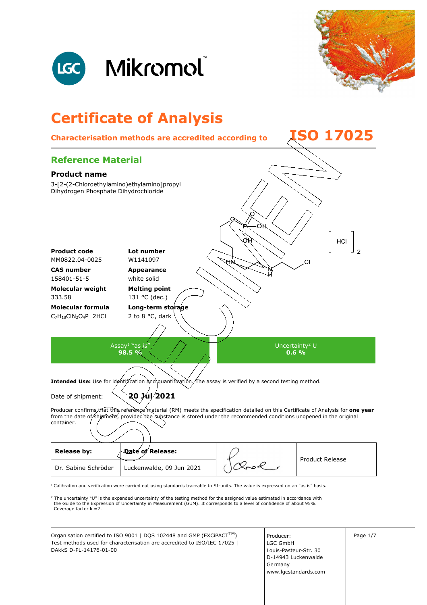



# **Certificate of Analysis Characterisation methods are accredited according to ISO 17025 Reference Material**

## **Product name**  3-[2-(2-Chloroethylamino)ethylamino]propyl Dihydrogen Phosphate Dihydrochloride HCI **Product code Lot number**  MM0822.04-0025 W1141097 CI **CAS number Appearance**  158401-51-5 white solid **Molecular weight Melting point**  333.58 131 °C (dec.) **Molecular formula Long-term storage**  C7H18ClN2O4P 2HCl 2 to 8 °C, dark Assay $^1$  "as  $j$ s"  $\hspace{0.1em}$ Uncertainty<sup>2</sup> U **98.5 % 0.6 % Intended Use:** Use for identification and quantification. The assay is verified by a second testing method. Date of shipment: **20 Jul 2021** Producer confirms that this reference material (RM) meets the specification detailed on this Certificate of Analysis for **one year** from the date of/shipment, provided the substance is stored under the recommended conditions unopened in the original container. Release by: **Date of Release:** Product Release Dr. Sabine Schröder | Luckenwalde, 09 Jun 2021

 $1$  Calibration and verification were carried out using standards traceable to SI-units. The value is expressed on an "as is" basis.

<sup>2</sup> The uncertainty "U" is the expanded uncertainty of the testing method for the assigned value estimated in accordance with<br>the Guide to the Expression of Uncertainty in Measurement (GUM). It corresponds to a level of co Coverage factor k =2.

Organisation certified to ISO 9001 | DQS 102448 and GMP (EXCiPACT<sup>TM</sup>) | Producer: | | Page 1/7 Test methods used for characterisation are accredited to ISO/IEC 17025 | DAkkS D-PL-14176-01-00

Producer: LGC GmbH Louis-Pasteur-Str. 30 D-14943 Luckenwalde Germany www.lgcstandards.com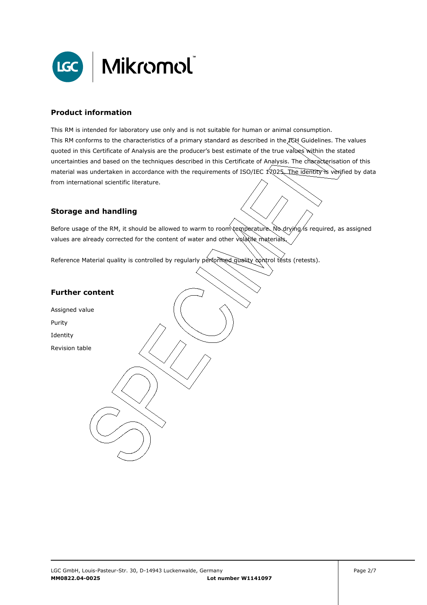

### **Product information**

This RM is intended for laboratory use only and is not suitable for human or animal consumption. This RM conforms to the characteristics of a primary standard as described in the ICH Guidelines. The values quoted in this Certificate of Analysis are the producer's best estimate of the true values within the stated uncertainties and based on the techniques described in this Certificate of Analysis. The characterisation of this material was undertaken in accordance with the requirements of ISO/IEC 17025. The identity is verified by data from international scientific literature.

#### **Storage and handling**

Before usage of the RM, it should be allowed to warm to room temperature. No drying/is required, as assigned values are already corrected for the content of water and other volatile materials

Reference Material quality is controlled by regularly performed quality control tests (retests).

#### **Further content**

Assigned value

Purity

Identity

Revision table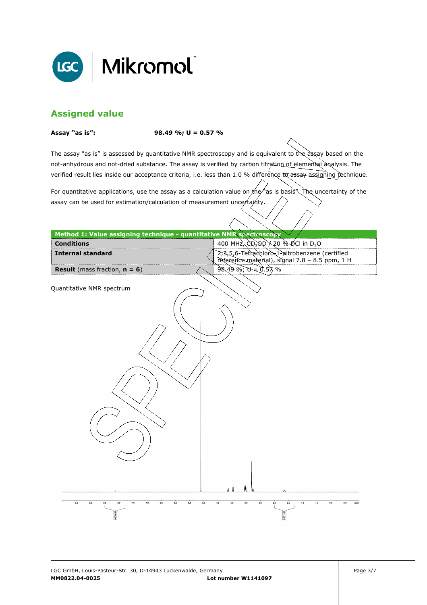

## **Assigned value**

**Assay "as is": 98.49 %; U = 0.57 %** 

The assay "as is" is assessed by quantitative NMR spectroscopy and is equivalent to the assay based on the not-anhydrous and not-dried substance. The assay is verified by carbon titration of elemental analysis. The verified result lies inside our acceptance criteria, i.e. less than 1.0 % difference to assay assigning technique.

For quantitative applications, use the assay as a calculation value on  $x$ he "as is basis". The uncertainty of the assay can be used for estimation/calculation of measurement uncertainty.

| Method 1: Value assigning technique - quantitative NMR spectroscopy |                   |                                                                                                 |                          |
|---------------------------------------------------------------------|-------------------|-------------------------------------------------------------------------------------------------|--------------------------|
| <b>Conditions</b>                                                   |                   |                                                                                                 |                          |
| <b>Internal standard</b>                                            |                   | 2,3,5,6-Tetrachloro 1-pitrobenzene (certified<br>reference material), signal 7.8 - 8.5 ppm, 1 H |                          |
| <b>Result</b> (mass fraction, $n = 6$ )                             |                   | $98.49\%$ ; $U = 0.57\%$                                                                        |                          |
|                                                                     |                   |                                                                                                 |                          |
| Quantitative NMR spectrum                                           |                   |                                                                                                 |                          |
|                                                                     |                   |                                                                                                 |                          |
|                                                                     |                   |                                                                                                 |                          |
|                                                                     |                   |                                                                                                 |                          |
|                                                                     |                   |                                                                                                 |                          |
|                                                                     |                   |                                                                                                 |                          |
|                                                                     |                   |                                                                                                 |                          |
|                                                                     |                   |                                                                                                 |                          |
|                                                                     |                   |                                                                                                 |                          |
|                                                                     |                   |                                                                                                 |                          |
|                                                                     |                   |                                                                                                 |                          |
|                                                                     |                   |                                                                                                 |                          |
|                                                                     |                   |                                                                                                 |                          |
|                                                                     |                   |                                                                                                 |                          |
|                                                                     |                   |                                                                                                 |                          |
|                                                                     |                   |                                                                                                 |                          |
|                                                                     |                   |                                                                                                 |                          |
|                                                                     |                   |                                                                                                 |                          |
|                                                                     |                   |                                                                                                 |                          |
|                                                                     |                   |                                                                                                 |                          |
|                                                                     |                   |                                                                                                 |                          |
|                                                                     |                   |                                                                                                 |                          |
|                                                                     |                   |                                                                                                 |                          |
|                                                                     |                   |                                                                                                 |                          |
| 9.5<br>7.0<br>9.0<br>8,5<br>8.0<br>7.5<br>6.5<br>6.0                | 5.5<br>5.0<br>4,5 | 3.0<br>4.0<br>3.5<br>2.5<br>2.0                                                                 | 1.5<br>1.0<br>0.5<br>0.0 |
|                                                                     |                   |                                                                                                 |                          |
|                                                                     |                   |                                                                                                 |                          |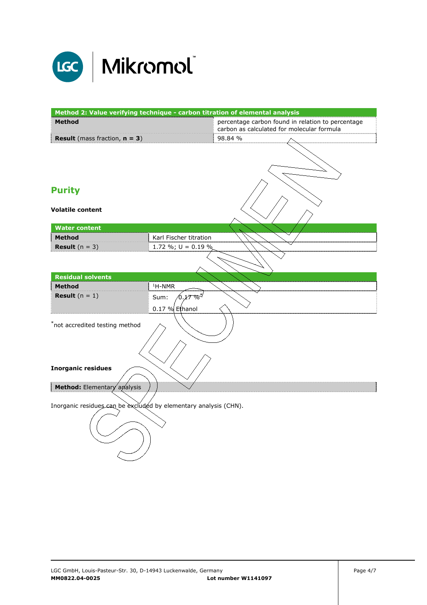

| Method 2: Value verifying technique - carbon titration of elemental analysis |                                             |                                                                                                 |  |
|------------------------------------------------------------------------------|---------------------------------------------|-------------------------------------------------------------------------------------------------|--|
| <b>Method</b>                                                                |                                             | percentage carbon found in relation to percentage<br>carbon as calculated for molecular formula |  |
| <b>Result</b> (mass fraction, $n = 3$ )                                      |                                             | 98.84 %                                                                                         |  |
|                                                                              |                                             |                                                                                                 |  |
| <b>Purity</b>                                                                |                                             |                                                                                                 |  |
| <b>Volatile content</b>                                                      |                                             |                                                                                                 |  |
| <b>Water content</b>                                                         |                                             |                                                                                                 |  |
| <b>Method</b>                                                                | Karl Fischer titration                      |                                                                                                 |  |
| <b>Result</b> $(n = 3)$                                                      | 1.72 %; $U = 0.19$ %                        |                                                                                                 |  |
|                                                                              |                                             |                                                                                                 |  |
| <b>Residual solvents</b>                                                     |                                             |                                                                                                 |  |
| <b>Method</b>                                                                | $1H-NMR$                                    |                                                                                                 |  |
| <b>Result</b> $(n = 1)$                                                      | $0.27\%^{*\!\!/}$<br>Sum:<br>0.17 % Ethanol |                                                                                                 |  |
| *not accredited testing method                                               |                                             |                                                                                                 |  |
| <b>Inorganic residues</b>                                                    |                                             |                                                                                                 |  |
| Method: Elementary analysis                                                  |                                             |                                                                                                 |  |
| Inorganic residues can be excluded by elementary analysis (CHN).             |                                             |                                                                                                 |  |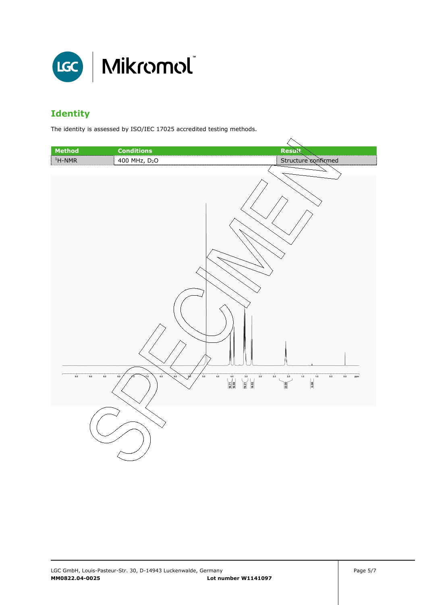

# **Identity**

The identity is assessed by ISO/IEC 17025 accredited testing methods.

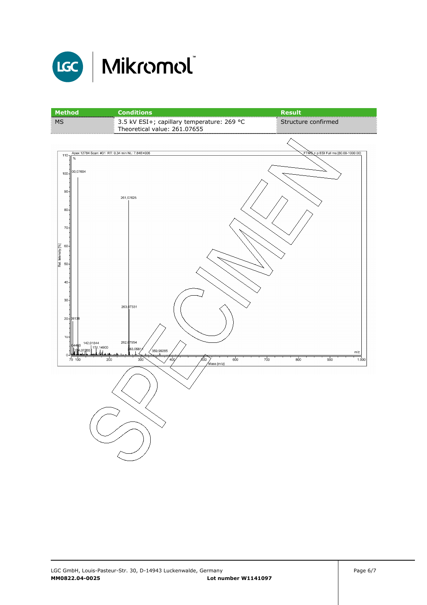